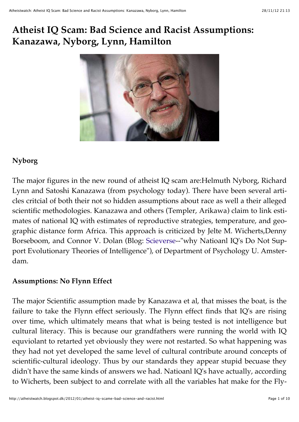# **Atheist IQ Scam: Bad Science and Racist Assumptions: Kanazawa, Nyborg, Lynn, Hamilton**



# **Nyborg**

The major figures in the new round of atheist IQ scam are:Helmuth Nyborg, Richard Lynn and Satoshi Kanazawa (from psychology today). There have been several articles critcial of both their not so hidden assumptions about race as well a their alleged scientific methodologies. Kanazawa and others (Templer, Arikawa) claim to link estimates of national IQ with estimates of reproductive strategies, temperature, and geographic distance form Africa. This approach is criticized by Jelte M. Wicherts,Denny Borseboom, and Connor V. Dolan (Blog: [Scieverse-](http://www.sciencedirect.com/science/article/pii/S0191886909002475)-"why Natioanl IQ's Do Not Support Evolutionary Theories of Intelligence"), of Department of Psychology U. Amsterdam.

# **Assumptions: No Flynn Effect**

The major Scientific assumption made by Kanazawa et al, that misses the boat, is the failure to take the Flynn effect seriously. The Flynn effect finds that IQ's are rising over time, which ultimately means that what is being tested is not intelligence but cultural literacy. This is because our grandfathers were running the world with IQ equviolant to retarted yet obviously they were not restarted. So what happening was they had not yet developed the same level of cultural contribute around concepts of scientific-cultural ideology. Thus by our standards they appear stupid becuase they didn't have the same kinds of answers we had. Natioanl IQ's have actually, according to Wicherts, been subject to and correlate with all the variables hat make for the Fly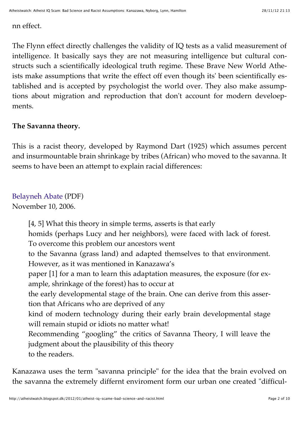nn effect.

The Flynn effect directly challenges the validity of IQ tests as a valid measurement of intelligence. It basically says they are not measuring intelligence but cultural constructs such a scientifically ideological truth regime. These Brave New World Atheists make assumptions that write the effect off even though its' been scientifically established and is accepted by psychologist the world over. They also make assumptions about migration and reproduction that don't account for modern develoepments.

## **The Savanna theory.**

This is a racist theory, developed by Raymond Dart (1925) which assumes percent and insurmountable brain shrinkage by tribes (African) who moved to the savanna. It seems to have been an attempt to explain racial differences:

# [Belayneh Abate](http://addisvoice.com/article/kanazawa.pdf) (PDF)

November 10, 2006.

[4, 5] What this theory in simple terms, asserts is that early homids (perhaps Lucy and her neighbors), were faced with lack of forest. To overcome this problem our ancestors went to the Savanna (grass land) and adapted themselves to that environment. However, as it was mentioned in Kanazawa's paper [1] for a man to learn this adaptation measures, the exposure (for example, shrinkage of the forest) has to occur at the early developmental stage of the brain. One can derive from this assertion that Africans who are deprived of any kind of modern technology during their early brain developmental stage will remain stupid or idiots no matter what! Recommending "googling" the critics of Savanna Theory, I will leave the judgment about the plausibility of this theory to the readers.

Kanazawa uses the term "savanna principle" for the idea that the brain evolved on the savanna the extremely differnt enviroment form our urban one created "difficul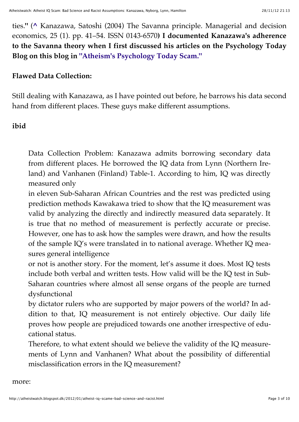ties.**"** (**[^](http://en.wikipedia.org/wiki/Satoshi_Kanazawa#cite_ref-5)** Kanazawa, Satoshi (2004) The Savanna principle. Managerial and decision economics, 25 (1). pp. 41–54. ISSN 0143-6570**) I documented Kanazawa's adherence to the Savanna theory when I first discussed his articles on the Psychology Today Blog on this blog in ["Atheism's Psychology Today Scam."](http://atheistwatch.blogspot.com/2010/10/atheisms-psychology-today-scam.html)**

## **Flawed Data Collection:**

Still dealing with Kanazawa, as I have pointed out before, he barrows his data second hand from different places. These guys make different assumptions.

## **ibid**

Data Collection Problem: Kanazawa admits borrowing secondary data from different places. He borrowed the IQ data from Lynn (Northern Ireland) and Vanhanen (Finland) Table-1. According to him, IQ was directly measured only

in eleven Sub-Saharan African Countries and the rest was predicted using prediction methods Kawakawa tried to show that the IQ measurement was valid by analyzing the directly and indirectly measured data separately. It is true that no method of measurement is perfectly accurate or precise. However, one has to ask how the samples were drawn, and how the results of the sample IQ's were translated in to national average. Whether IQ measures general intelligence

or not is another story. For the moment, let's assume it does. Most IQ tests include both verbal and written tests. How valid will be the IQ test in Sub-Saharan countries where almost all sense organs of the people are turned dysfunctional

by dictator rulers who are supported by major powers of the world? In addition to that, IQ measurement is not entirely objective. Our daily life proves how people are prejudiced towards one another irrespective of educational status.

Therefore, to what extent should we believe the validity of the IQ measurements of Lynn and Vanhanen? What about the possibility of differential misclassification errors in the IQ measurement?

more: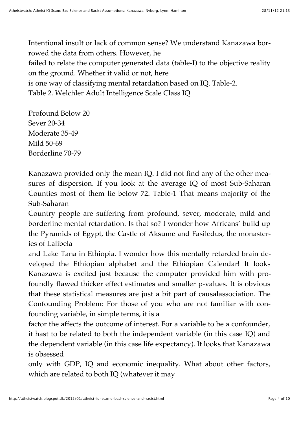Intentional insult or lack of common sense? We understand Kanazawa borrowed the data from others. However, he failed to relate the computer generated data (table-I) to the objective reality on the ground. Whether it valid or not, here is one way of classifying mental retardation based on IQ. Table-2. Table 2. Welchler Adult Intelligence Scale Class IQ

Profound Below 20 Sever 20-34 Moderate 35-49 Mild 50-69 Borderline 70-79

Kanazawa provided only the mean IQ. I did not find any of the other measures of dispersion. If you look at the average IQ of most Sub-Saharan Counties most of them lie below 72. Table-1 That means majority of the Sub-Saharan

Country people are suffering from profound, sever, moderate, mild and borderline mental retardation. Is that so? I wonder how Africans' build up the Pyramids of Egypt, the Castle of Aksume and Fasiledus, the monasteries of Lalibela

and Lake Tana in Ethiopia. I wonder how this mentally retarded brain developed the Ethiopian alphabet and the Ethiopian Calendar! It looks Kanazawa is excited just because the computer provided him with profoundly flawed thicker effect estimates and smaller p-values. It is obvious that these statistical measures are just a bit part of causalassociation. The Confounding Problem: For those of you who are not familiar with confounding variable, in simple terms, it is a

factor the affects the outcome of interest. For a variable to be a confounder, it hast to be related to both the independent variable (in this case IQ) and the dependent variable (in this case life expectancy). It looks that Kanazawa is obsessed

only with GDP, IQ and economic inequality. What about other factors, which are related to both IQ (whatever it may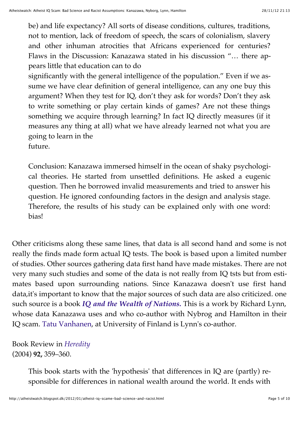be) and life expectancy? All sorts of disease conditions, cultures, traditions, not to mention, lack of freedom of speech, the scars of colonialism, slavery and other inhuman atrocities that Africans experienced for centuries? Flaws in the Discussion: Kanazawa stated in his discussion "… there appears little that education can to do

significantly with the general intelligence of the population." Even if we assume we have clear definition of general intelligence, can any one buy this argument? When they test for IQ, don't they ask for words? Don't they ask to write something or play certain kinds of games? Are not these things something we acquire through learning? In fact IQ directly measures (if it measures any thing at all) what we have already learned not what you are going to learn in the

future.

Conclusion: Kanazawa immersed himself in the ocean of shaky psychological theories. He started from unsettled definitions. He asked a eugenic question. Then he borrowed invalid measurements and tried to answer his question. He ignored confounding factors in the design and analysis stage. Therefore, the results of his study can be explained only with one word: bias!

Other criticisms along these same lines, that data is all second hand and some is not really the finds made form actual IQ tests. The book is based upon a limited number of studies. Other sources gathering data first hand have made mistakes. There are not very many such studies and some of the data is not really from IQ tsts but from estimates based upon surrounding nations. Since Kanazawa doesn't use first hand data,it's important to know that the major sources of such data are also criticized. one such source is a book *[IQ and the Wealth of Nations.](http://books.google.com/books?id=KQ4rLiAbHQQC)* This is a work by Richard Lynn, whose data Kanazawa uses and who co-author with Nybrog and Hamilton in their IQ scam. [Tatu Vanhanen,](http://en.wikipedia.org/wiki/Tatu_Vanhanen) at University of Finland is Lynn's co-author.

Book Review in *[Heredity](http://www.nature.com/hdy/journal/v92/n4/full/6800418a.html)* (2004) **92,** 359–360.

> This book starts with the 'hypothesis' that differences in IQ are (partly) responsible for differences in national wealth around the world. It ends with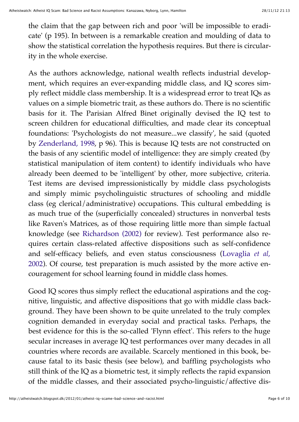the claim that the gap between rich and poor 'will be impossible to eradicate' (p 195). In between is a remarkable creation and moulding of data to show the statistical correlation the hypothesis requires. But there is circularity in the whole exercise.

As the authors acknowledge, national wealth reflects industrial development, which requires an ever-expanding middle class, and IQ scores simply reflect middle class membership. It is a widespread error to treat IQs as values on a simple biometric trait, as these authors do. There is no scientific basis for it. The Parisian Alfred Binet originally devised the IQ test to screen children for educational difficulties, and made clear its conceptual foundations: 'Psychologists do not measure...we classify', he said (quoted by [Zenderland, 1998,](http://www.nature.com/hdy/journal/v92/n4/full/6800418a.html#bib6) p 96). This is because IQ tests are not constructed on the basis of any scientific model of intelligence: they are simply created (by statistical manipulation of item content) to identify individuals who have already been deemed to be 'intelligent' by other, more subjective, criteria. Test items are devised impressionistically by middle class psychologists and simply mimic psycholinguistic structures of schooling and middle class (eg clerical/administrative) occupations. This cultural embedding is as much true of the (superficially concealed) structures in nonverbal tests like Raven's Matrices, as of those requiring little more than simple factual knowledge (see [Richardson \(2002\)](http://www.nature.com/hdy/journal/v92/n4/full/6800418a.html#bib5) for review). Test performance also requires certain class-related affective dispositions such as self-confidence and self-efficacy beliefs, and even status consciousness (Lovaglia *et al*, [2002\). Of course, test preparation is much assisted by the more active en](http://www.nature.com/hdy/journal/v92/n4/full/6800418a.html#bib4)couragement for school learning found in middle class homes.

Good IQ scores thus simply reflect the educational aspirations and the cognitive, linguistic, and affective dispositions that go with middle class background. They have been shown to be quite unrelated to the truly complex cognition demanded in everyday social and practical tasks. Perhaps, the best evidence for this is the so-called 'Flynn effect'. This refers to the huge secular increases in average IQ test performances over many decades in all countries where records are available. Scarcely mentioned in this book, because fatal to its basic thesis (see below), and baffling psychologists who still think of the IQ as a biometric test, it simply reflects the rapid expansion of the middle classes, and their associated psycho-linguistic/affective dis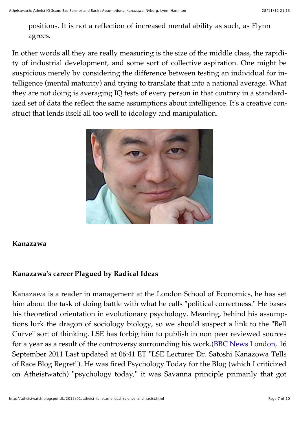positions. It is not a reflection of increased mental ability as such, as Flynn agrees.

In other words all they are really measuring is the size of the middle class, the rapidity of industrial development, and some sort of collective aspiration. One might be suspicious merely by considering the difference between testing an individual for intelligence (mental maturity) and trying to translate that into a national average. What they are not doing is averaging IQ tests of every person in that coutnry in a standardized set of data the reflect the same assumptions about intelligence. It's a creative construct that lends itself all too well to ideology and manipulation.



## **Kanazawa**

## **Kanazawa's career Plagued by Radical Ideas**

Kanazawa is a reader in management at the London School of Economics, he has set him about the task of doing battle with what he calls "political correctness." He bases his theoretical orientation in evolutionary psychology. Meaning, behind his assumptions lurk the dragon of sociology biology, so we should suspect a link to the "Bell Curve" sort of thinking. LSE has forbig him to publish in non peer reviewed sources for a year as a result of the controversy surrounding his work.[\(BBC News London,](http://www.bbc.co.uk/news/uk-england-london-14945110) 16 September 2011 Last updated at 06:41 ET "LSE Lecturer Dr. Satoshi Kanazowa Tells of Race Blog Regret"). He was fired Psychology Today for the Blog (which I criticized on Atheistwatch) "psychology today," it was Savanna principle primarily that got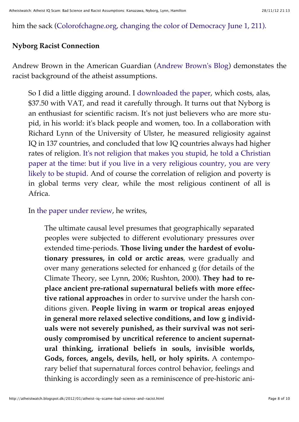him the sack [\(Colorofchagne.org, changing the color of Democracy June 1, 211\).](http://www.colorofchange.org/press/releases/2011/6/1/psychology-today-agrees-to-remove-controversial-au/)

## **Nyborg Racist Connection**

Andrew Brown in the American Guardian [\(Andrew Brown's Blog\)](http://www.guardian.co.uk/commentisfree/andrewbrown/2008/dec/19/religion-iq-atheism) demonstates the racist background of the atheist assumptions.

So I did a little digging around. I [downloaded the paper](http://bit.ly/38HT), which costs, alas, \$37.50 with VAT, and read it carefully through. It turns out that Nyborg is an enthusiast for scientific racism. It's not just believers who are more stupid, in his world: it's black people and women, too. In a collaboration with Richard Lynn of the University of Ulster, he measured religiosity against IQ in 137 countries, and concluded that low IQ countries always had higher [rates of religion. It's not religion that makes you stupid, he told a Christian](http://politiken.dk/videnskab/article528956.ece) paper at the time: but if you live in a very religious country, you are very likely to be stupid. And of course the correlation of religion and poverty is in global terms very clear, while the most religious continent of all is Africa.

In [the paper under review,](http://bit.ly/38HT) he writes,

The ultimate causal level presumes that geographically separated peoples were subjected to different evolutionary pressures over extended time-periods. **Those living under the hardest of evolutionary pressures, in cold or arctic areas**, were gradually and over many generations selected for enhanced g (for details of the Climate Theory, see Lynn, 2006; Rushton, 2000). **They had to replace ancient pre-rational supernatural beliefs with more effective rational approaches** in order to survive under the harsh conditions given. **People living in warm or tropical areas enjoyed in general more relaxed selective conditions, and low g individuals were not severely punished, as their survival was not seriously compromised by uncritical reference to ancient supernatural thinking, irrational beliefs in souls, invisible worlds, Gods, forces, angels, devils, hell, or holy spirits.** A contemporary belief that supernatural forces control behavior, feelings and thinking is accordingly seen as a reminiscence of pre-historic ani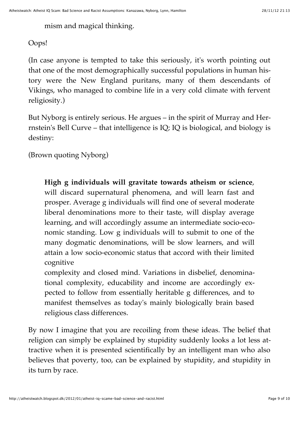mism and magical thinking.

Oops!

(In case anyone is tempted to take this seriously, it's worth pointing out that one of the most demographically successful populations in human history were the New England puritans, many of them descendants of Vikings, who managed to combine life in a very cold climate with fervent religiosity.)

But Nyborg is entirely serious. He argues – in the spirit of Murray and Herrnstein's Bell Curve – that intelligence is IQ; IQ is biological, and biology is destiny:

(Brown quoting Nyborg)

**High g individuals will gravitate towards atheism or science**, will discard supernatural phenomena, and will learn fast and prosper. Average g individuals will find one of several moderate liberal denominations more to their taste, will display average learning, and will accordingly assume an intermediate socio-economic standing. Low g individuals will to submit to one of the many dogmatic denominations, will be slow learners, and will attain a low socio-economic status that accord with their limited cognitive

complexity and closed mind. Variations in disbelief, denominational complexity, educability and income are accordingly expected to follow from essentially heritable g differences, and to manifest themselves as today's mainly biologically brain based religious class differences.

By now I imagine that you are recoiling from these ideas. The belief that religion can simply be explained by stupidity suddenly looks a lot less attractive when it is presented scientifically by an intelligent man who also believes that poverty, too, can be explained by stupidity, and stupidity in its turn by race.